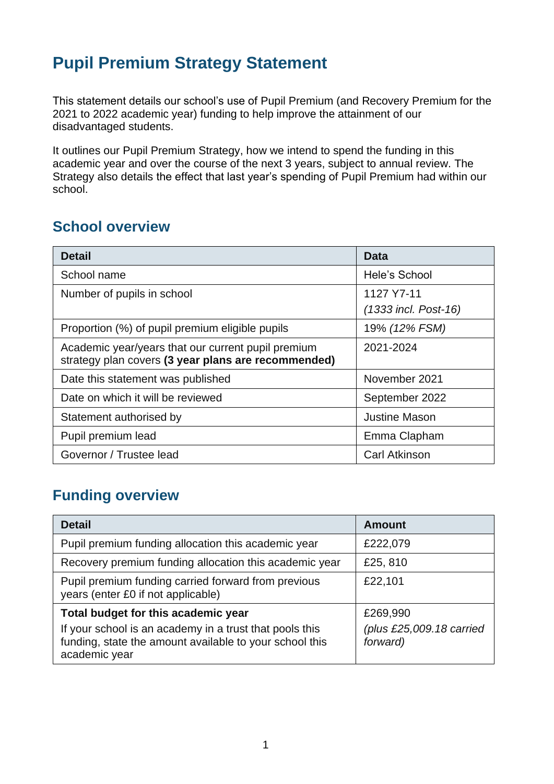## **Pupil Premium Strategy Statement**

This statement details our school's use of Pupil Premium (and Recovery Premium for the 2021 to 2022 academic year) funding to help improve the attainment of our disadvantaged students.

It outlines our Pupil Premium Strategy, how we intend to spend the funding in this academic year and over the course of the next 3 years, subject to annual review. The Strategy also details the effect that last year's spending of Pupil Premium had within our school.

#### **School overview**

| <b>Detail</b>                                                                                             | Data                   |
|-----------------------------------------------------------------------------------------------------------|------------------------|
| School name                                                                                               | Hele's School          |
| Number of pupils in school                                                                                | 1127 Y7-11             |
|                                                                                                           | $(1333$ incl. Post-16) |
| Proportion (%) of pupil premium eligible pupils                                                           | 19% (12% FSM)          |
| Academic year/years that our current pupil premium<br>strategy plan covers (3 year plans are recommended) | 2021-2024              |
| Date this statement was published                                                                         | November 2021          |
| Date on which it will be reviewed                                                                         | September 2022         |
| Statement authorised by                                                                                   | <b>Justine Mason</b>   |
| Pupil premium lead                                                                                        | Emma Clapham           |
| Governor / Trustee lead                                                                                   | <b>Carl Atkinson</b>   |

#### **Funding overview**

| <b>Detail</b>                                                                                                                                                              | <b>Amount</b>                                    |
|----------------------------------------------------------------------------------------------------------------------------------------------------------------------------|--------------------------------------------------|
| Pupil premium funding allocation this academic year                                                                                                                        | £222,079                                         |
| Recovery premium funding allocation this academic year                                                                                                                     | £25,810                                          |
| Pupil premium funding carried forward from previous<br>years (enter £0 if not applicable)                                                                                  | £22,101                                          |
| Total budget for this academic year<br>If your school is an academy in a trust that pools this<br>funding, state the amount available to your school this<br>academic year | £269,990<br>(plus £25,009.18 carried<br>forward) |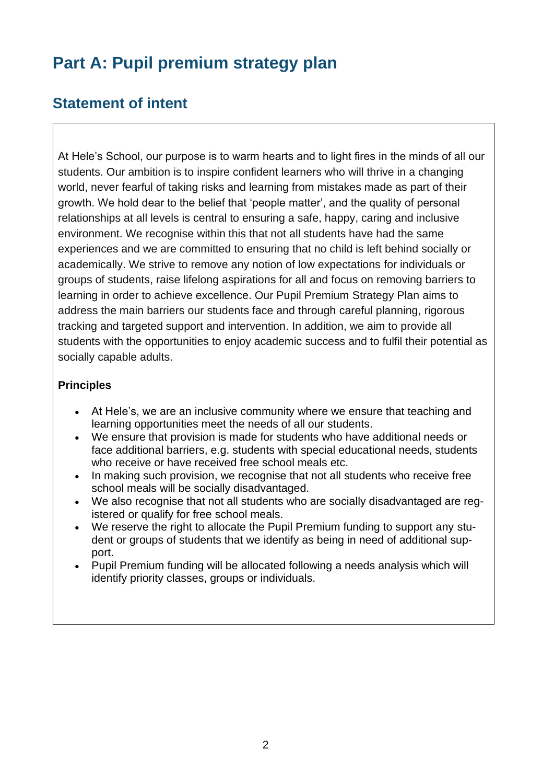## **Part A: Pupil premium strategy plan**

#### **Statement of intent**

At Hele's School, our purpose is to warm hearts and to light fires in the minds of all our students. Our ambition is to inspire confident learners who will thrive in a changing world, never fearful of taking risks and learning from mistakes made as part of their growth. We hold dear to the belief that 'people matter', and the quality of personal relationships at all levels is central to ensuring a safe, happy, caring and inclusive environment. We recognise within this that not all students have had the same experiences and we are committed to ensuring that no child is left behind socially or academically. We strive to remove any notion of low expectations for individuals or groups of students, raise lifelong aspirations for all and focus on removing barriers to learning in order to achieve excellence. Our Pupil Premium Strategy Plan aims to address the main barriers our students face and through careful planning, rigorous tracking and targeted support and intervention. In addition, we aim to provide all students with the opportunities to enjoy academic success and to fulfil their potential as socially capable adults.

#### **Principles**

- At Hele's, we are an inclusive community where we ensure that teaching and learning opportunities meet the needs of all our students.
- We ensure that provision is made for students who have additional needs or face additional barriers, e.g. students with special educational needs, students who receive or have received free school meals etc.
- In making such provision, we recognise that not all students who receive free school meals will be socially disadvantaged.
- We also recognise that not all students who are socially disadvantaged are registered or qualify for free school meals.
- We reserve the right to allocate the Pupil Premium funding to support any student or groups of students that we identify as being in need of additional support.
- Pupil Premium funding will be allocated following a needs analysis which will identify priority classes, groups or individuals.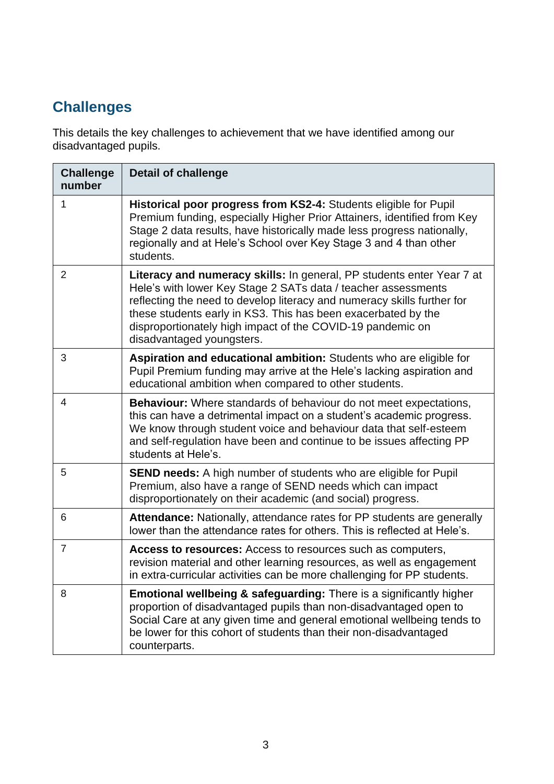## **Challenges**

This details the key challenges to achievement that we have identified among our disadvantaged pupils.

| <b>Challenge</b><br>number | <b>Detail of challenge</b>                                                                                                                                                                                                                                                                                                                                                    |
|----------------------------|-------------------------------------------------------------------------------------------------------------------------------------------------------------------------------------------------------------------------------------------------------------------------------------------------------------------------------------------------------------------------------|
| 1                          | Historical poor progress from KS2-4: Students eligible for Pupil<br>Premium funding, especially Higher Prior Attainers, identified from Key<br>Stage 2 data results, have historically made less progress nationally,<br>regionally and at Hele's School over Key Stage 3 and 4 than other<br>students.                                                                       |
| $\overline{2}$             | Literacy and numeracy skills: In general, PP students enter Year 7 at<br>Hele's with lower Key Stage 2 SATs data / teacher assessments<br>reflecting the need to develop literacy and numeracy skills further for<br>these students early in KS3. This has been exacerbated by the<br>disproportionately high impact of the COVID-19 pandemic on<br>disadvantaged youngsters. |
| 3                          | Aspiration and educational ambition: Students who are eligible for<br>Pupil Premium funding may arrive at the Hele's lacking aspiration and<br>educational ambition when compared to other students.                                                                                                                                                                          |
| $\overline{4}$             | <b>Behaviour:</b> Where standards of behaviour do not meet expectations,<br>this can have a detrimental impact on a student's academic progress.<br>We know through student voice and behaviour data that self-esteem<br>and self-regulation have been and continue to be issues affecting PP<br>students at Hele's.                                                          |
| 5                          | <b>SEND needs:</b> A high number of students who are eligible for Pupil<br>Premium, also have a range of SEND needs which can impact<br>disproportionately on their academic (and social) progress.                                                                                                                                                                           |
| 6                          | Attendance: Nationally, attendance rates for PP students are generally<br>lower than the attendance rates for others. This is reflected at Hele's.                                                                                                                                                                                                                            |
| $\overline{7}$             | Access to resources: Access to resources such as computers,<br>revision material and other learning resources, as well as engagement<br>in extra-curricular activities can be more challenging for PP students.                                                                                                                                                               |
| 8                          | <b>Emotional wellbeing &amp; safeguarding:</b> There is a significantly higher<br>proportion of disadvantaged pupils than non-disadvantaged open to<br>Social Care at any given time and general emotional wellbeing tends to<br>be lower for this cohort of students than their non-disadvantaged<br>counterparts.                                                           |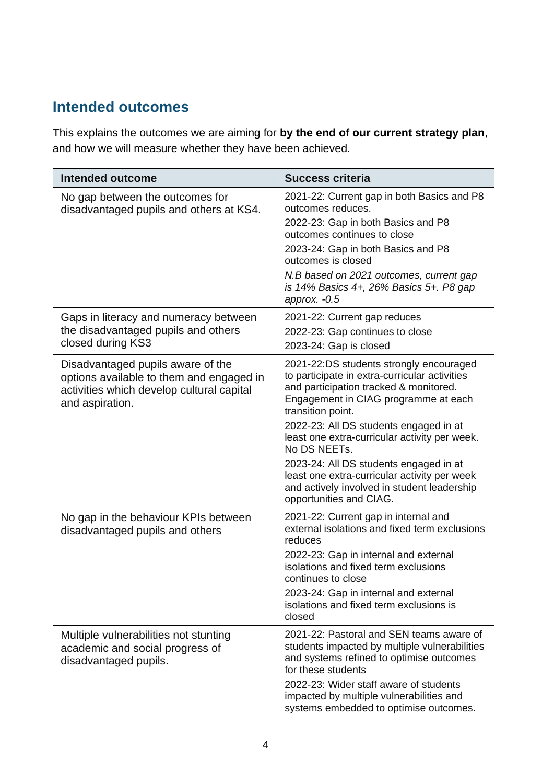### **Intended outcomes**

This explains the outcomes we are aiming for **by the end of our current strategy plan**, and how we will measure whether they have been achieved.

| <b>Intended outcome</b>                                                                                                                       | <b>Success criteria</b>                                                                                                                                                                                                                                                                                                                                                                                                                                                        |
|-----------------------------------------------------------------------------------------------------------------------------------------------|--------------------------------------------------------------------------------------------------------------------------------------------------------------------------------------------------------------------------------------------------------------------------------------------------------------------------------------------------------------------------------------------------------------------------------------------------------------------------------|
| No gap between the outcomes for<br>disadvantaged pupils and others at KS4.                                                                    | 2021-22: Current gap in both Basics and P8<br>outcomes reduces.<br>2022-23: Gap in both Basics and P8<br>outcomes continues to close<br>2023-24: Gap in both Basics and P8<br>outcomes is closed<br>N.B based on 2021 outcomes, current gap<br>is 14% Basics 4+, 26% Basics 5+. P8 gap<br>approx. $-0.5$                                                                                                                                                                       |
| Gaps in literacy and numeracy between<br>the disadvantaged pupils and others<br>closed during KS3                                             | 2021-22: Current gap reduces<br>2022-23: Gap continues to close<br>2023-24: Gap is closed                                                                                                                                                                                                                                                                                                                                                                                      |
| Disadvantaged pupils aware of the<br>options available to them and engaged in<br>activities which develop cultural capital<br>and aspiration. | 2021-22:DS students strongly encouraged<br>to participate in extra-curricular activities<br>and participation tracked & monitored.<br>Engagement in CIAG programme at each<br>transition point.<br>2022-23: All DS students engaged in at<br>least one extra-curricular activity per week.<br>No DS NEETs.<br>2023-24: All DS students engaged in at<br>least one extra-curricular activity per week<br>and actively involved in student leadership<br>opportunities and CIAG. |
| No gap in the behaviour KPIs between<br>disadvantaged pupils and others                                                                       | 2021-22: Current gap in internal and<br>external isolations and fixed term exclusions<br>reduces<br>2022-23: Gap in internal and external<br>isolations and fixed term exclusions<br>continues to close<br>2023-24: Gap in internal and external<br>isolations and fixed term exclusions is<br>closed                                                                                                                                                                          |
| Multiple vulnerabilities not stunting<br>academic and social progress of<br>disadvantaged pupils.                                             | 2021-22: Pastoral and SEN teams aware of<br>students impacted by multiple vulnerabilities<br>and systems refined to optimise outcomes<br>for these students<br>2022-23: Wider staff aware of students<br>impacted by multiple vulnerabilities and<br>systems embedded to optimise outcomes.                                                                                                                                                                                    |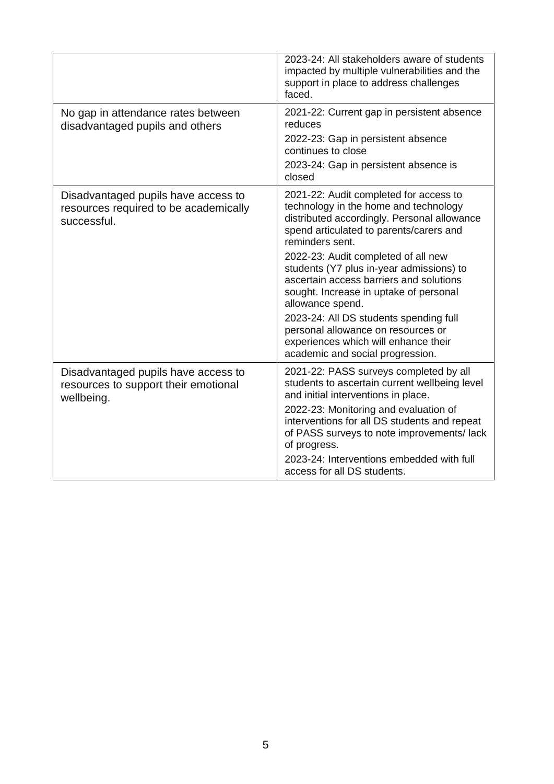|                                                                                             | 2023-24: All stakeholders aware of students<br>impacted by multiple vulnerabilities and the<br>support in place to address challenges<br>faced.                                                                                                                                                                                                                                                                                                                                                                                                      |
|---------------------------------------------------------------------------------------------|------------------------------------------------------------------------------------------------------------------------------------------------------------------------------------------------------------------------------------------------------------------------------------------------------------------------------------------------------------------------------------------------------------------------------------------------------------------------------------------------------------------------------------------------------|
| No gap in attendance rates between<br>disadvantaged pupils and others                       | 2021-22: Current gap in persistent absence<br>reduces<br>2022-23: Gap in persistent absence<br>continues to close<br>2023-24: Gap in persistent absence is<br>closed                                                                                                                                                                                                                                                                                                                                                                                 |
| Disadvantaged pupils have access to<br>resources required to be academically<br>successful. | 2021-22: Audit completed for access to<br>technology in the home and technology<br>distributed accordingly. Personal allowance<br>spend articulated to parents/carers and<br>reminders sent.<br>2022-23: Audit completed of all new<br>students (Y7 plus in-year admissions) to<br>ascertain access barriers and solutions<br>sought. Increase in uptake of personal<br>allowance spend.<br>2023-24: All DS students spending full<br>personal allowance on resources or<br>experiences which will enhance their<br>academic and social progression. |
| Disadvantaged pupils have access to<br>resources to support their emotional<br>wellbeing.   | 2021-22: PASS surveys completed by all<br>students to ascertain current wellbeing level<br>and initial interventions in place.<br>2022-23: Monitoring and evaluation of<br>interventions for all DS students and repeat<br>of PASS surveys to note improvements/lack<br>of progress.<br>2023-24: Interventions embedded with full<br>access for all DS students.                                                                                                                                                                                     |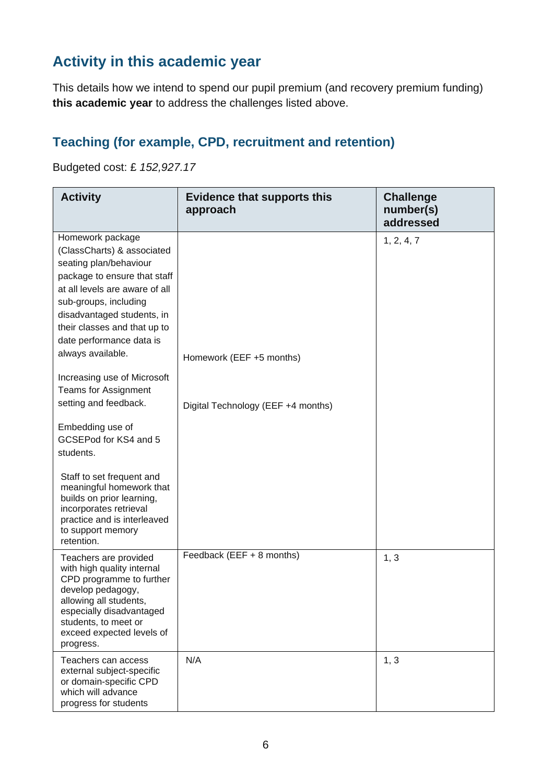### **Activity in this academic year**

This details how we intend to spend our pupil premium (and recovery premium funding) **this academic year** to address the challenges listed above.

#### **Teaching (for example, CPD, recruitment and retention)**

Budgeted cost: £ *152,927.17*

| <b>Activity</b>                                                                                                                                                                                                                                                                    | <b>Evidence that supports this</b><br>approach | <b>Challenge</b><br>number(s)<br>addressed |
|------------------------------------------------------------------------------------------------------------------------------------------------------------------------------------------------------------------------------------------------------------------------------------|------------------------------------------------|--------------------------------------------|
| Homework package<br>(ClassCharts) & associated<br>seating plan/behaviour<br>package to ensure that staff<br>at all levels are aware of all<br>sub-groups, including<br>disadvantaged students, in<br>their classes and that up to<br>date performance data is<br>always available. | Homework (EEF +5 months)                       | 1, 2, 4, 7                                 |
| Increasing use of Microsoft<br><b>Teams for Assignment</b><br>setting and feedback.<br>Embedding use of<br>GCSEPod for KS4 and 5<br>students.                                                                                                                                      | Digital Technology (EEF +4 months)             |                                            |
| Staff to set frequent and<br>meaningful homework that<br>builds on prior learning,<br>incorporates retrieval<br>practice and is interleaved<br>to support memory<br>retention.                                                                                                     |                                                |                                            |
| Teachers are provided<br>with high quality internal<br>CPD programme to further<br>develop pedagogy,<br>allowing all students,<br>especially disadvantaged<br>students, to meet or<br>exceed expected levels of<br>progress.                                                       | Feedback (EEF + 8 months)                      | 1, 3                                       |
| Teachers can access<br>external subject-specific<br>or domain-specific CPD<br>which will advance<br>progress for students                                                                                                                                                          | N/A                                            | 1, 3                                       |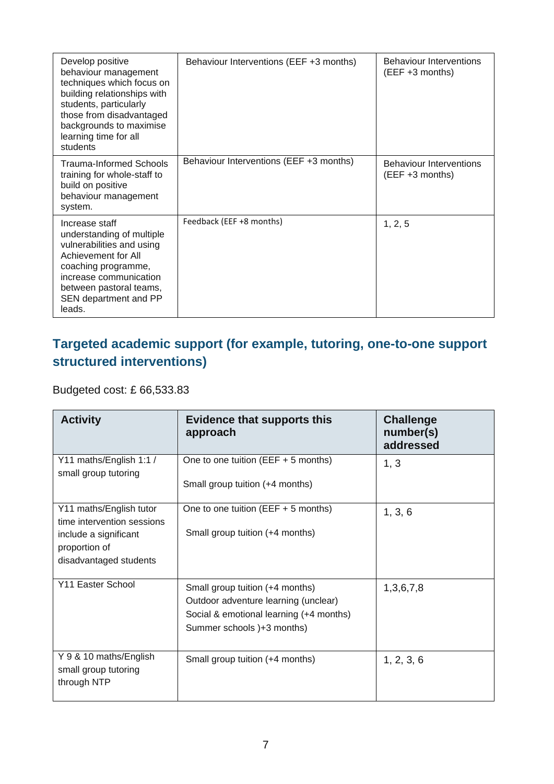| Develop positive<br>behaviour management<br>techniques which focus on<br>building relationships with<br>students, particularly<br>those from disadvantaged<br>backgrounds to maximise<br>learning time for all<br>students | Behaviour Interventions (EEF +3 months) | <b>Behaviour Interventions</b><br>(EEF +3 months) |
|----------------------------------------------------------------------------------------------------------------------------------------------------------------------------------------------------------------------------|-----------------------------------------|---------------------------------------------------|
| Trauma-Informed Schools<br>training for whole-staff to<br>build on positive<br>behaviour management<br>system.                                                                                                             | Behaviour Interventions (EEF +3 months) | <b>Behaviour Interventions</b><br>(EEF +3 months) |
| Increase staff<br>understanding of multiple<br>vulnerabilities and using<br>Achievement for All<br>coaching programme,<br>increase communication<br>between pastoral teams,<br>SEN department and PP<br>leads.             | Feedback (EEF +8 months)                | 1, 2, 5                                           |

#### **Targeted academic support (for example, tutoring, one-to-one support structured interventions)**

Budgeted cost: £ 66,533.83

| <b>Activity</b>                                                                                                           | <b>Evidence that supports this</b><br>approach                                                                                                   | <b>Challenge</b><br>number(s)<br>addressed |
|---------------------------------------------------------------------------------------------------------------------------|--------------------------------------------------------------------------------------------------------------------------------------------------|--------------------------------------------|
| Y11 maths/English 1:1 /<br>small group tutoring                                                                           | One to one tuition (EEF $+$ 5 months)<br>Small group tuition (+4 months)                                                                         | 1, 3                                       |
| Y11 maths/English tutor<br>time intervention sessions<br>include a significant<br>proportion of<br>disadvantaged students | One to one tuition (EEF $+5$ months)<br>Small group tuition (+4 months)                                                                          | 1, 3, 6                                    |
| Y11 Easter School                                                                                                         | Small group tuition (+4 months)<br>Outdoor adventure learning (unclear)<br>Social & emotional learning (+4 months)<br>Summer schools )+3 months) | 1,3,6,7,8                                  |
| Y 9 & 10 maths/English<br>small group tutoring<br>through NTP                                                             | Small group tuition (+4 months)                                                                                                                  | 1, 2, 3, 6                                 |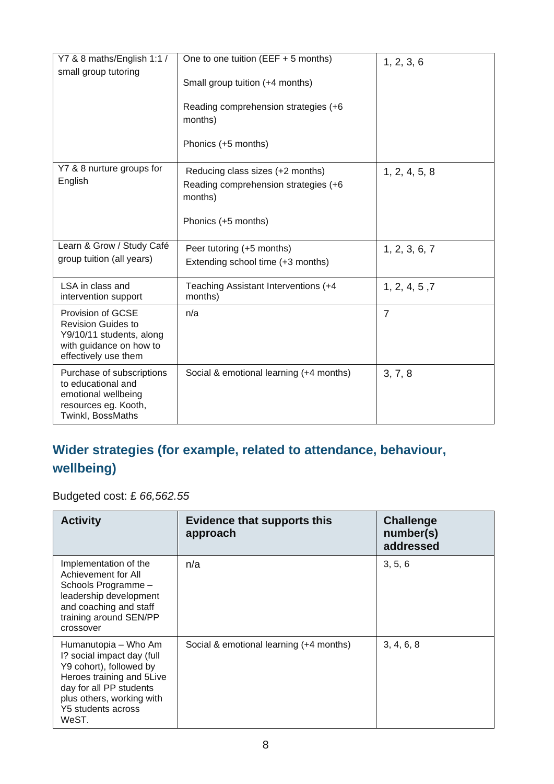| Y7 & 8 maths/English 1:1 /<br>small group tutoring                                                                                   | One to one tuition (EEF $+5$ months)            | 1, 2, 3, 6     |
|--------------------------------------------------------------------------------------------------------------------------------------|-------------------------------------------------|----------------|
|                                                                                                                                      | Small group tuition (+4 months)                 |                |
|                                                                                                                                      | Reading comprehension strategies (+6<br>months) |                |
|                                                                                                                                      | Phonics (+5 months)                             |                |
| Y7 & 8 nurture groups for                                                                                                            | Reducing class sizes (+2 months)                | 1, 2, 4, 5, 8  |
| English                                                                                                                              | Reading comprehension strategies (+6<br>months) |                |
|                                                                                                                                      | Phonics (+5 months)                             |                |
| Learn & Grow / Study Café                                                                                                            | Peer tutoring (+5 months)                       | 1, 2, 3, 6, 7  |
| group tuition (all years)                                                                                                            | Extending school time (+3 months)               |                |
| LSA in class and<br>intervention support                                                                                             | Teaching Assistant Interventions (+4<br>months) | 1, 2, 4, 5, 7  |
| <b>Provision of GCSE</b><br><b>Revision Guides to</b><br>Y9/10/11 students, along<br>with guidance on how to<br>effectively use them | n/a                                             | $\overline{7}$ |
| Purchase of subscriptions<br>to educational and<br>emotional wellbeing<br>resources eg. Kooth,<br>Twinkl, BossMaths                  | Social & emotional learning (+4 months)         | 3, 7, 8        |

### **Wider strategies (for example, related to attendance, behaviour, wellbeing)**

Budgeted cost: £ *66,562.55*

| <b>Activity</b>                                                                                                                                                                                   | <b>Evidence that supports this</b><br>approach | <b>Challenge</b><br>number(s)<br>addressed |
|---------------------------------------------------------------------------------------------------------------------------------------------------------------------------------------------------|------------------------------------------------|--------------------------------------------|
| Implementation of the<br>Achievement for All<br>Schools Programme -<br>leadership development<br>and coaching and staff<br>training around SEN/PP<br>crossover                                    | n/a                                            | 3, 5, 6                                    |
| Humanutopia - Who Am<br>I? social impact day (full<br>Y9 cohort), followed by<br>Heroes training and 5Live<br>day for all PP students<br>plus others, working with<br>Y5 students across<br>WeST. | Social & emotional learning (+4 months)        | 3, 4, 6, 8                                 |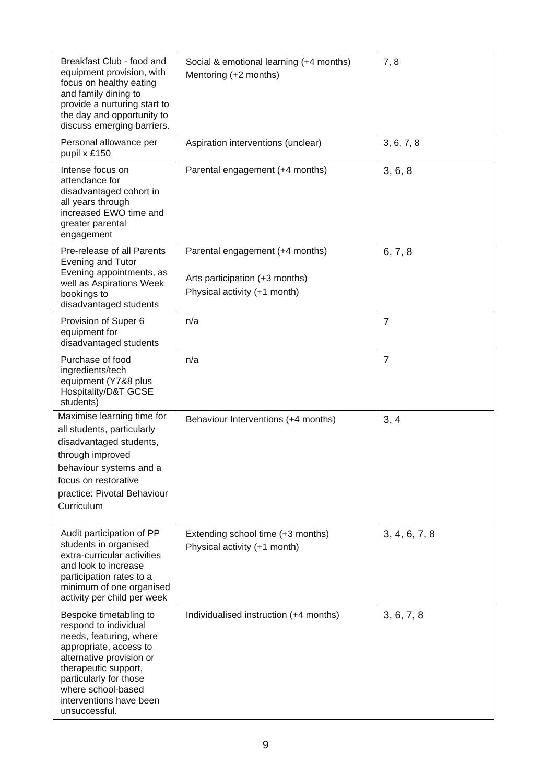| Breakfast Club - food and<br>equipment provision, with<br>focus on healthy eating<br>and family dining to<br>provide a nurturing start to<br>the day and opportunity to<br>discuss emerging barriers.                                                | Social & emotional learning (+4 months)<br>Mentoring (+2 months)                                  | 7,8            |
|------------------------------------------------------------------------------------------------------------------------------------------------------------------------------------------------------------------------------------------------------|---------------------------------------------------------------------------------------------------|----------------|
| Personal allowance per<br>pupil x £150                                                                                                                                                                                                               | Aspiration interventions (unclear)                                                                | 3, 6, 7, 8     |
| Intense focus on<br>attendance for<br>disadvantaged cohort in<br>all years through<br>increased EWO time and<br>greater parental<br>engagement                                                                                                       | Parental engagement (+4 months)                                                                   | 3, 6, 8        |
| Pre-release of all Parents<br>Evening and Tutor<br>Evening appointments, as<br>well as Aspirations Week<br>bookings to<br>disadvantaged students                                                                                                     | Parental engagement (+4 months)<br>Arts participation (+3 months)<br>Physical activity (+1 month) | 6, 7, 8        |
| Provision of Super 6<br>equipment for<br>disadvantaged students                                                                                                                                                                                      | n/a                                                                                               | $\overline{7}$ |
| Purchase of food<br>ingredients/tech<br>equipment (Y7&8 plus<br>Hospitality/D&T GCSE<br>students)                                                                                                                                                    | n/a                                                                                               | $\overline{7}$ |
| Maximise learning time for<br>all students, particularly<br>disadvantaged students,<br>through improved<br>behaviour systems and a<br>focus on restorative<br>practice: Pivotal Behaviour<br>Curriculum                                              | Behaviour Interventions (+4 months)                                                               | 3, 4           |
| Audit participation of PP<br>students in organised<br>extra-curricular activities<br>and look to increase<br>participation rates to a<br>minimum of one organised<br>activity per child per week                                                     | Extending school time (+3 months)<br>Physical activity (+1 month)                                 | 3, 4, 6, 7, 8  |
| Bespoke timetabling to<br>respond to individual<br>needs, featuring, where<br>appropriate, access to<br>alternative provision or<br>therapeutic support,<br>particularly for those<br>where school-based<br>interventions have been<br>unsuccessful. | Individualised instruction (+4 months)                                                            | 3, 6, 7, 8     |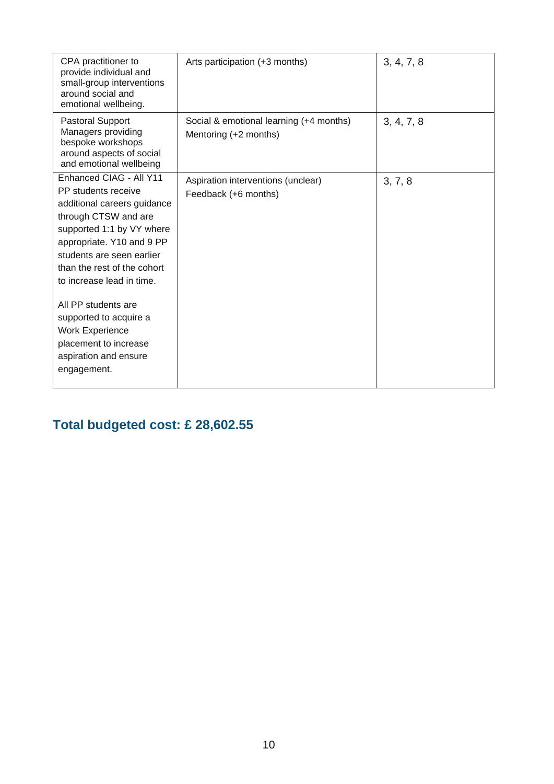| CPA practitioner to<br>provide individual and<br>small-group interventions<br>around social and<br>emotional wellbeing.                                                                                                                                                                                                                                                                              | Arts participation (+3 months)                                   | 3, 4, 7, 8 |
|------------------------------------------------------------------------------------------------------------------------------------------------------------------------------------------------------------------------------------------------------------------------------------------------------------------------------------------------------------------------------------------------------|------------------------------------------------------------------|------------|
| <b>Pastoral Support</b><br>Managers providing<br>bespoke workshops<br>around aspects of social<br>and emotional wellbeing                                                                                                                                                                                                                                                                            | Social & emotional learning (+4 months)<br>Mentoring (+2 months) | 3, 4, 7, 8 |
| Enhanced CIAG - All Y11<br>PP students receive<br>additional careers guidance<br>through CTSW and are<br>supported 1:1 by VY where<br>appropriate. Y10 and 9 PP<br>students are seen earlier<br>than the rest of the cohort<br>to increase lead in time.<br>All PP students are<br>supported to acquire a<br><b>Work Experience</b><br>placement to increase<br>aspiration and ensure<br>engagement. | Aspiration interventions (unclear)<br>Feedback (+6 months)       | 3, 7, 8    |
|                                                                                                                                                                                                                                                                                                                                                                                                      |                                                                  |            |

### **Total budgeted cost: £ 28,602.55**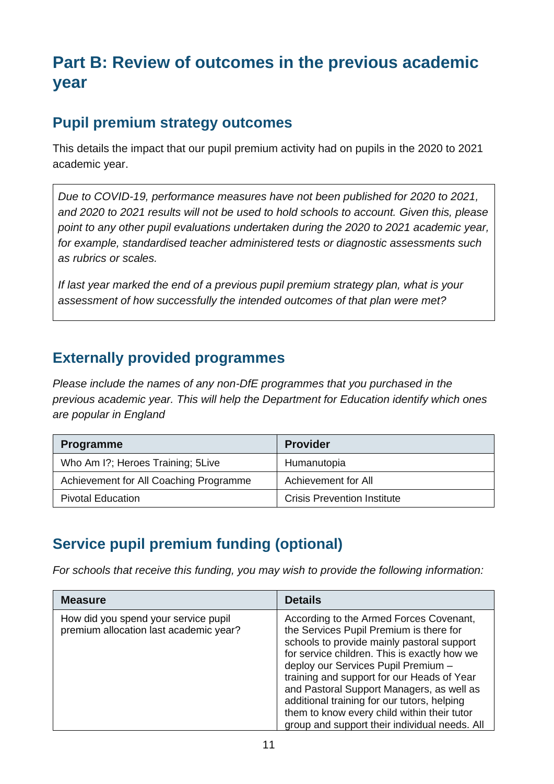## **Part B: Review of outcomes in the previous academic year**

#### **Pupil premium strategy outcomes**

This details the impact that our pupil premium activity had on pupils in the 2020 to 2021 academic year.

*Due to COVID-19, performance measures have not been published for 2020 to 2021, and 2020 to 2021 results will not be used to hold schools to account. Given this, please point to any other pupil evaluations undertaken during the 2020 to 2021 academic year, for example, standardised teacher administered tests or diagnostic assessments such as rubrics or scales.*

*If last year marked the end of a previous pupil premium strategy plan, what is your assessment of how successfully the intended outcomes of that plan were met?*

#### **Externally provided programmes**

*Please include the names of any non-DfE programmes that you purchased in the previous academic year. This will help the Department for Education identify which ones are popular in England*

| <b>Programme</b>                       | <b>Provider</b>                    |
|----------------------------------------|------------------------------------|
| Who Am I?; Heroes Training; 5Live      | Humanutopia                        |
| Achievement for All Coaching Programme | Achievement for All                |
| <b>Pivotal Education</b>               | <b>Crisis Prevention Institute</b> |

### **Service pupil premium funding (optional)**

*For schools that receive this funding, you may wish to provide the following information:* 

| <b>Measure</b>                                                                 | <b>Details</b>                                                                                                                                                                                                                                                                                                                                                                                                                                                    |
|--------------------------------------------------------------------------------|-------------------------------------------------------------------------------------------------------------------------------------------------------------------------------------------------------------------------------------------------------------------------------------------------------------------------------------------------------------------------------------------------------------------------------------------------------------------|
| How did you spend your service pupil<br>premium allocation last academic year? | According to the Armed Forces Covenant,<br>the Services Pupil Premium is there for<br>schools to provide mainly pastoral support<br>for service children. This is exactly how we<br>deploy our Services Pupil Premium -<br>training and support for our Heads of Year<br>and Pastoral Support Managers, as well as<br>additional training for our tutors, helping<br>them to know every child within their tutor<br>group and support their individual needs. All |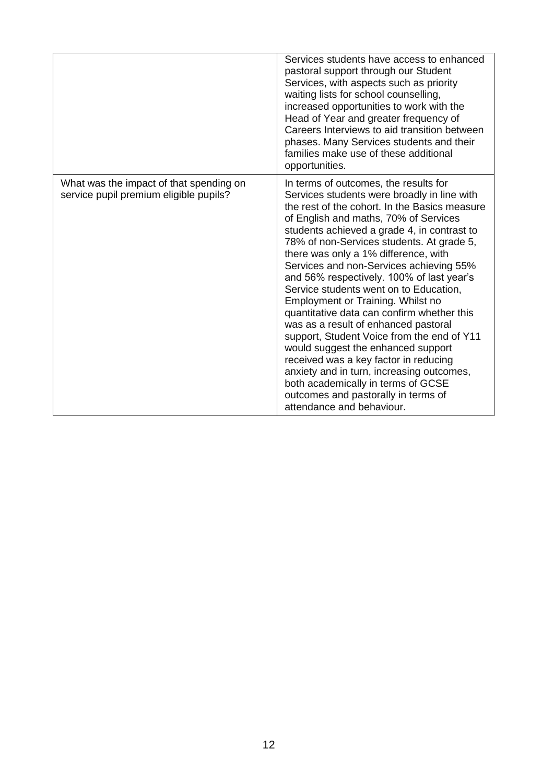|                                                                                   | Services students have access to enhanced<br>pastoral support through our Student<br>Services, with aspects such as priority<br>waiting lists for school counselling,<br>increased opportunities to work with the<br>Head of Year and greater frequency of<br>Careers Interviews to aid transition between<br>phases. Many Services students and their<br>families make use of these additional<br>opportunities.                                                                                                                                                                                                                                                                                                                                                                                                                                                   |
|-----------------------------------------------------------------------------------|---------------------------------------------------------------------------------------------------------------------------------------------------------------------------------------------------------------------------------------------------------------------------------------------------------------------------------------------------------------------------------------------------------------------------------------------------------------------------------------------------------------------------------------------------------------------------------------------------------------------------------------------------------------------------------------------------------------------------------------------------------------------------------------------------------------------------------------------------------------------|
| What was the impact of that spending on<br>service pupil premium eligible pupils? | In terms of outcomes, the results for<br>Services students were broadly in line with<br>the rest of the cohort. In the Basics measure<br>of English and maths, 70% of Services<br>students achieved a grade 4, in contrast to<br>78% of non-Services students. At grade 5,<br>there was only a 1% difference, with<br>Services and non-Services achieving 55%<br>and 56% respectively. 100% of last year's<br>Service students went on to Education,<br>Employment or Training. Whilst no<br>quantitative data can confirm whether this<br>was as a result of enhanced pastoral<br>support, Student Voice from the end of Y11<br>would suggest the enhanced support<br>received was a key factor in reducing<br>anxiety and in turn, increasing outcomes,<br>both academically in terms of GCSE<br>outcomes and pastorally in terms of<br>attendance and behaviour. |